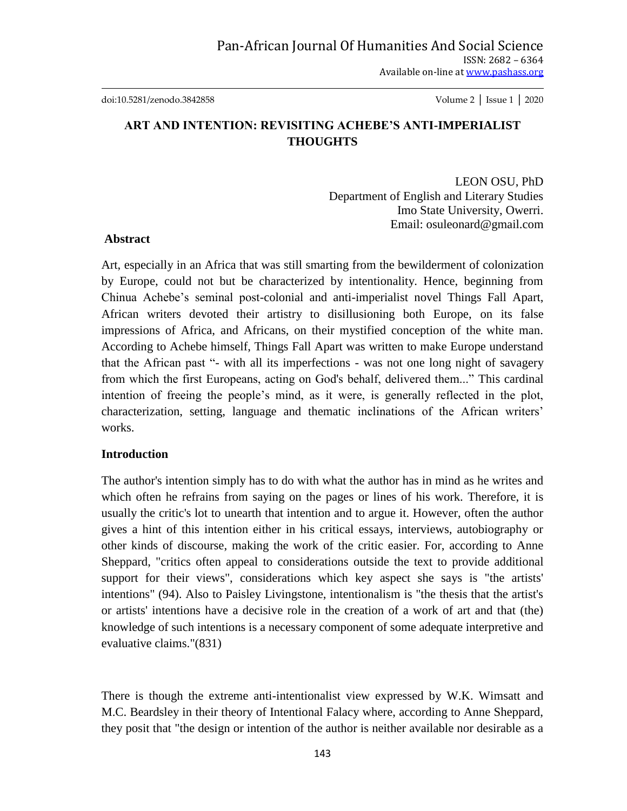doi:10.5281/zenodo.3842858 Volume 2 │ Issue 1 │ 2020

## **ART AND INTENTION: REVISITING ACHEBE'S ANTI-IMPERIALIST THOUGHTS**

LEON OSU, PhD Department of English and Literary Studies Imo State University, Owerri. Email: osuleonard@gmail.com

## **Abstract**

Art, especially in an Africa that was still smarting from the bewilderment of colonization by Europe, could not but be characterized by intentionality. Hence, beginning from Chinua Achebe"s seminal post-colonial and anti-imperialist novel Things Fall Apart, African writers devoted their artistry to disillusioning both Europe, on its false impressions of Africa, and Africans, on their mystified conception of the white man. According to Achebe himself, Things Fall Apart was written to make Europe understand that the African past "- with all its imperfections - was not one long night of savagery from which the first Europeans, acting on God's behalf, delivered them..." This cardinal intention of freeing the people"s mind, as it were, is generally reflected in the plot, characterization, setting, language and thematic inclinations of the African writers" works.

## **Introduction**

The author's intention simply has to do with what the author has in mind as he writes and which often he refrains from saying on the pages or lines of his work. Therefore, it is usually the critic's lot to unearth that intention and to argue it. However, often the author gives a hint of this intention either in his critical essays, interviews, autobiography or other kinds of discourse, making the work of the critic easier. For, according to Anne Sheppard, "critics often appeal to considerations outside the text to provide additional support for their views", considerations which key aspect she says is "the artists' intentions" (94). Also to Paisley Livingstone, intentionalism is "the thesis that the artist's or artists' intentions have a decisive role in the creation of a work of art and that (the) knowledge of such intentions is a necessary component of some adequate interpretive and evaluative claims."(831)

There is though the extreme anti-intentionalist view expressed by W.K. Wimsatt and M.C. Beardsley in their theory of Intentional Falacy where, according to Anne Sheppard, they posit that "the design or intention of the author is neither available nor desirable as a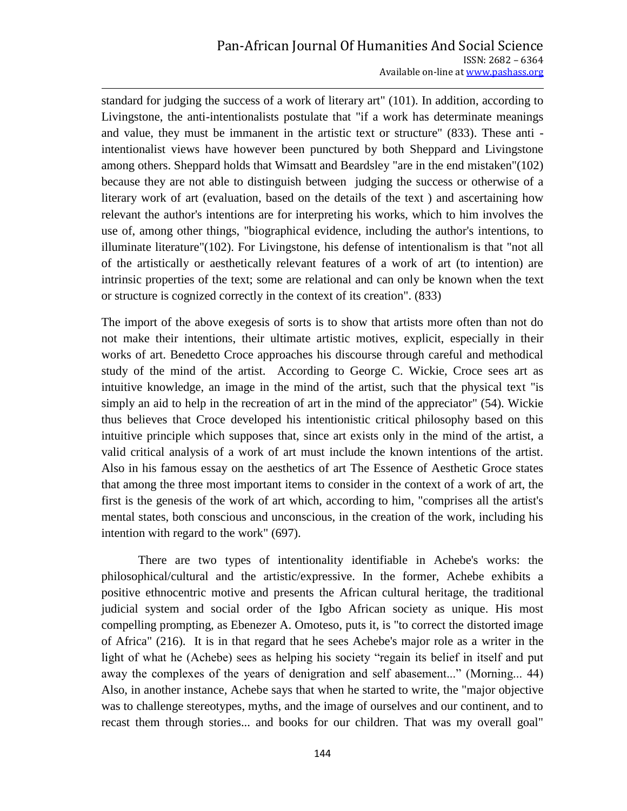standard for judging the success of a work of literary art" (101). In addition, according to Livingstone, the anti-intentionalists postulate that "if a work has determinate meanings and value, they must be immanent in the artistic text or structure" (833). These anti intentionalist views have however been punctured by both Sheppard and Livingstone among others. Sheppard holds that Wimsatt and Beardsley "are in the end mistaken"(102) because they are not able to distinguish between judging the success or otherwise of a literary work of art (evaluation, based on the details of the text ) and ascertaining how relevant the author's intentions are for interpreting his works, which to him involves the use of, among other things, "biographical evidence, including the author's intentions, to illuminate literature"(102). For Livingstone, his defense of intentionalism is that "not all of the artistically or aesthetically relevant features of a work of art (to intention) are intrinsic properties of the text; some are relational and can only be known when the text or structure is cognized correctly in the context of its creation". (833)

The import of the above exegesis of sorts is to show that artists more often than not do not make their intentions, their ultimate artistic motives, explicit, especially in their works of art. Benedetto Croce approaches his discourse through careful and methodical study of the mind of the artist. According to George C. Wickie, Croce sees art as intuitive knowledge, an image in the mind of the artist, such that the physical text "is simply an aid to help in the recreation of art in the mind of the appreciator" (54). Wickie thus believes that Croce developed his intentionistic critical philosophy based on this intuitive principle which supposes that, since art exists only in the mind of the artist, a valid critical analysis of a work of art must include the known intentions of the artist. Also in his famous essay on the aesthetics of art The Essence of Aesthetic Groce states that among the three most important items to consider in the context of a work of art, the first is the genesis of the work of art which, according to him, "comprises all the artist's mental states, both conscious and unconscious, in the creation of the work, including his intention with regard to the work" (697).

 There are two types of intentionality identifiable in Achebe's works: the philosophical/cultural and the artistic/expressive. In the former, Achebe exhibits a positive ethnocentric motive and presents the African cultural heritage, the traditional judicial system and social order of the Igbo African society as unique. His most compelling prompting, as Ebenezer A. Omoteso, puts it, is "to correct the distorted image of Africa" (216). It is in that regard that he sees Achebe's major role as a writer in the light of what he (Achebe) sees as helping his society "regain its belief in itself and put away the complexes of the years of denigration and self abasement..." (Morning... 44) Also, in another instance, Achebe says that when he started to write, the "major objective was to challenge stereotypes, myths, and the image of ourselves and our continent, and to recast them through stories... and books for our children. That was my overall goal"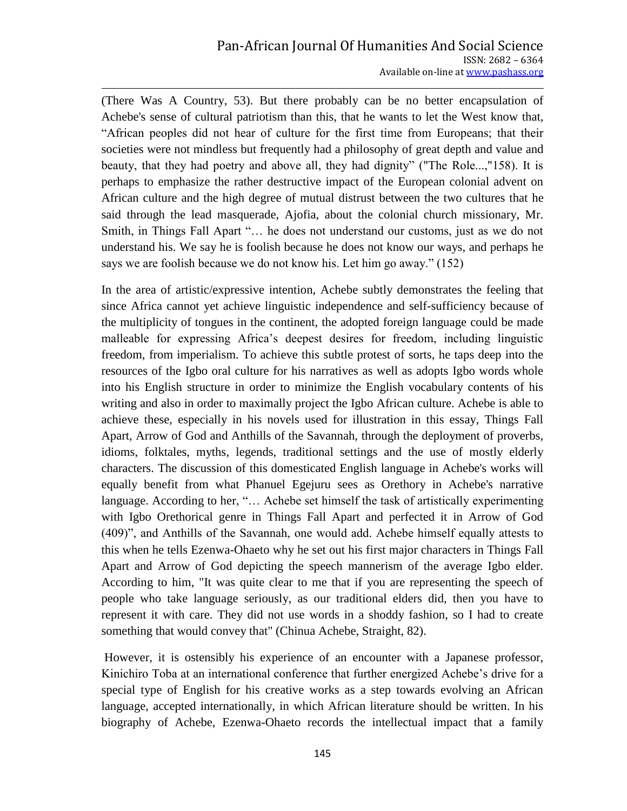(There Was A Country, 53). But there probably can be no better encapsulation of Achebe's sense of cultural patriotism than this, that he wants to let the West know that, "African peoples did not hear of culture for the first time from Europeans; that their societies were not mindless but frequently had a philosophy of great depth and value and beauty, that they had poetry and above all, they had dignity" ("The Role...,"158). It is perhaps to emphasize the rather destructive impact of the European colonial advent on African culture and the high degree of mutual distrust between the two cultures that he said through the lead masquerade, Ajofia, about the colonial church missionary, Mr. Smith, in Things Fall Apart "… he does not understand our customs, just as we do not understand his. We say he is foolish because he does not know our ways, and perhaps he says we are foolish because we do not know his. Let him go away." (152)

In the area of artistic/expressive intention, Achebe subtly demonstrates the feeling that since Africa cannot yet achieve linguistic independence and self-sufficiency because of the multiplicity of tongues in the continent, the adopted foreign language could be made malleable for expressing Africa"s deepest desires for freedom, including linguistic freedom, from imperialism. To achieve this subtle protest of sorts, he taps deep into the resources of the Igbo oral culture for his narratives as well as adopts Igbo words whole into his English structure in order to minimize the English vocabulary contents of his writing and also in order to maximally project the Igbo African culture. Achebe is able to achieve these, especially in his novels used for illustration in this essay, Things Fall Apart, Arrow of God and Anthills of the Savannah, through the deployment of proverbs, idioms, folktales, myths, legends, traditional settings and the use of mostly elderly characters. The discussion of this domesticated English language in Achebe's works will equally benefit from what Phanuel Egejuru sees as Orethory in Achebe's narrative language. According to her, "… Achebe set himself the task of artistically experimenting with Igbo Orethorical genre in Things Fall Apart and perfected it in Arrow of God (409)", and Anthills of the Savannah, one would add. Achebe himself equally attests to this when he tells Ezenwa-Ohaeto why he set out his first major characters in Things Fall Apart and Arrow of God depicting the speech mannerism of the average Igbo elder. According to him, "It was quite clear to me that if you are representing the speech of people who take language seriously, as our traditional elders did, then you have to represent it with care. They did not use words in a shoddy fashion, so I had to create something that would convey that" (Chinua Achebe, Straight, 82).

However, it is ostensibly his experience of an encounter with a Japanese professor, Kinichiro Toba at an international conference that further energized Achebe"s drive for a special type of English for his creative works as a step towards evolving an African language, accepted internationally, in which African literature should be written. In his biography of Achebe, Ezenwa-Ohaeto records the intellectual impact that a family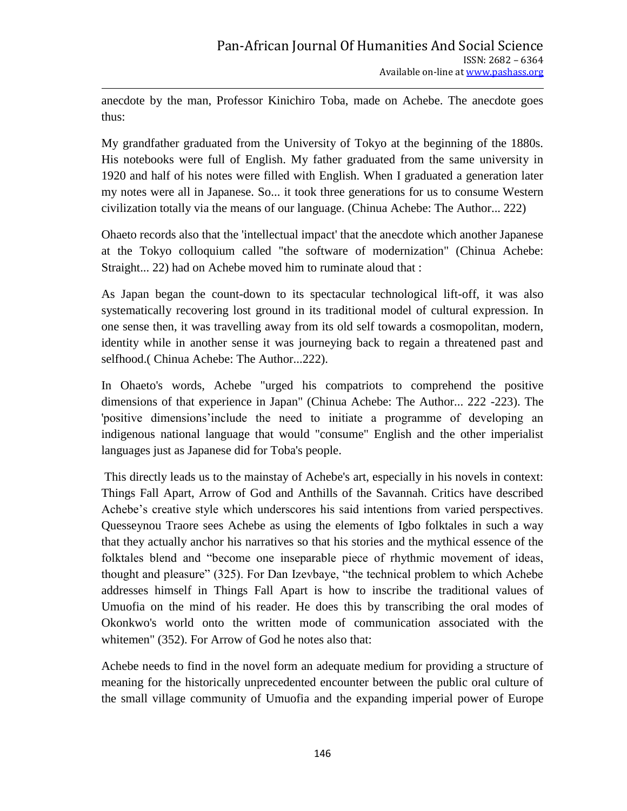anecdote by the man, Professor Kinichiro Toba, made on Achebe. The anecdote goes thus:

My grandfather graduated from the University of Tokyo at the beginning of the 1880s. His notebooks were full of English. My father graduated from the same university in 1920 and half of his notes were filled with English. When I graduated a generation later my notes were all in Japanese. So... it took three generations for us to consume Western civilization totally via the means of our language. (Chinua Achebe: The Author... 222)

Ohaeto records also that the 'intellectual impact' that the anecdote which another Japanese at the Tokyo colloquium called "the software of modernization" (Chinua Achebe: Straight... 22) had on Achebe moved him to ruminate aloud that :

As Japan began the count-down to its spectacular technological lift-off, it was also systematically recovering lost ground in its traditional model of cultural expression. In one sense then, it was travelling away from its old self towards a cosmopolitan, modern, identity while in another sense it was journeying back to regain a threatened past and selfhood.( Chinua Achebe: The Author...222).

In Ohaeto's words, Achebe "urged his compatriots to comprehend the positive dimensions of that experience in Japan" (Chinua Achebe: The Author... 222 -223). The 'positive dimensions"include the need to initiate a programme of developing an indigenous national language that would "consume" English and the other imperialist languages just as Japanese did for Toba's people.

This directly leads us to the mainstay of Achebe's art, especially in his novels in context: Things Fall Apart, Arrow of God and Anthills of the Savannah. Critics have described Achebe"s creative style which underscores his said intentions from varied perspectives. Quesseynou Traore sees Achebe as using the elements of Igbo folktales in such a way that they actually anchor his narratives so that his stories and the mythical essence of the folktales blend and "become one inseparable piece of rhythmic movement of ideas, thought and pleasure" (325). For Dan Izevbaye, "the technical problem to which Achebe addresses himself in Things Fall Apart is how to inscribe the traditional values of Umuofia on the mind of his reader. He does this by transcribing the oral modes of Okonkwo's world onto the written mode of communication associated with the whitemen" (352). For Arrow of God he notes also that:

Achebe needs to find in the novel form an adequate medium for providing a structure of meaning for the historically unprecedented encounter between the public oral culture of the small village community of Umuofia and the expanding imperial power of Europe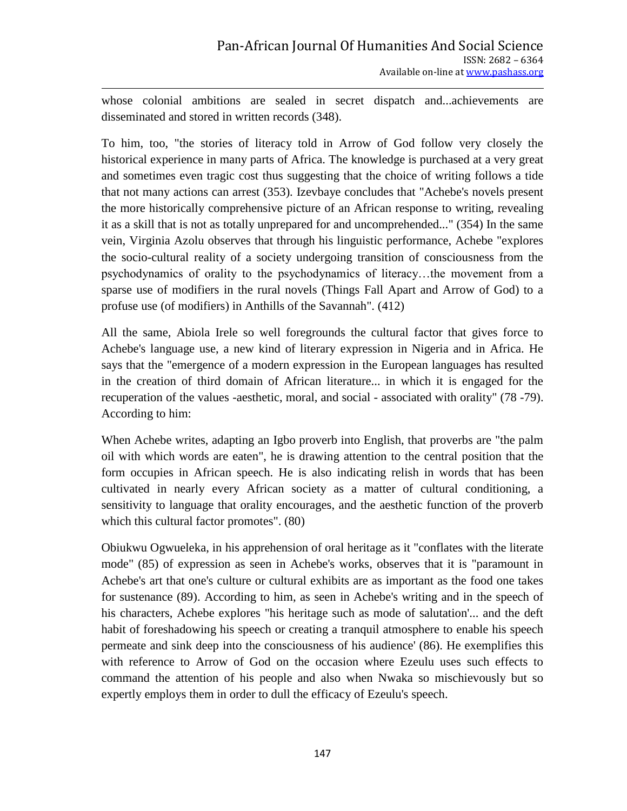whose colonial ambitions are sealed in secret dispatch and...achievements are disseminated and stored in written records (348).

To him, too, "the stories of literacy told in Arrow of God follow very closely the historical experience in many parts of Africa. The knowledge is purchased at a very great and sometimes even tragic cost thus suggesting that the choice of writing follows a tide that not many actions can arrest (353). Izevbaye concludes that "Achebe's novels present the more historically comprehensive picture of an African response to writing, revealing it as a skill that is not as totally unprepared for and uncomprehended..." (354) In the same vein, Virginia Azolu observes that through his linguistic performance, Achebe "explores the socio-cultural reality of a society undergoing transition of consciousness from the psychodynamics of orality to the psychodynamics of literacy…the movement from a sparse use of modifiers in the rural novels (Things Fall Apart and Arrow of God) to a profuse use (of modifiers) in Anthills of the Savannah". (412)

All the same, Abiola Irele so well foregrounds the cultural factor that gives force to Achebe's language use, a new kind of literary expression in Nigeria and in Africa. He says that the "emergence of a modern expression in the European languages has resulted in the creation of third domain of African literature... in which it is engaged for the recuperation of the values -aesthetic, moral, and social - associated with orality" (78 -79). According to him:

When Achebe writes, adapting an Igbo proverb into English, that proverbs are "the palm oil with which words are eaten", he is drawing attention to the central position that the form occupies in African speech. He is also indicating relish in words that has been cultivated in nearly every African society as a matter of cultural conditioning, a sensitivity to language that orality encourages, and the aesthetic function of the proverb which this cultural factor promotes". (80)

Obiukwu Ogwueleka, in his apprehension of oral heritage as it "conflates with the literate mode" (85) of expression as seen in Achebe's works, observes that it is "paramount in Achebe's art that one's culture or cultural exhibits are as important as the food one takes for sustenance (89). According to him, as seen in Achebe's writing and in the speech of his characters, Achebe explores "his heritage such as mode of salutation'... and the deft habit of foreshadowing his speech or creating a tranquil atmosphere to enable his speech permeate and sink deep into the consciousness of his audience' (86). He exemplifies this with reference to Arrow of God on the occasion where Ezeulu uses such effects to command the attention of his people and also when Nwaka so mischievously but so expertly employs them in order to dull the efficacy of Ezeulu's speech.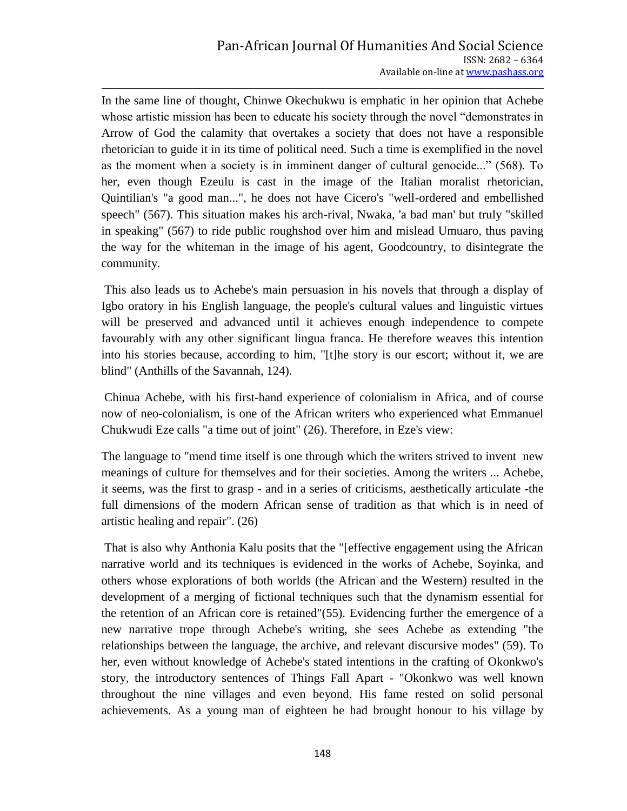In the same line of thought, Chinwe Okechukwu is emphatic in her opinion that Achebe whose artistic mission has been to educate his society through the novel "demonstrates in Arrow of God the calamity that overtakes a society that does not have a responsible rhetorician to guide it in its time of political need. Such a time is exemplified in the novel as the moment when a society is in imminent danger of cultural genocide..." (568). To her, even though Ezeulu is cast in the image of the Italian moralist rhetorician, Quintilian's "a good man...", he does not have Cicero's "well-ordered and embellished speech" (567). This situation makes his arch-rival, Nwaka, 'a bad man' but truly "skilled in speaking" (567) to ride public roughshod over him and mislead Umuaro, thus paving the way for the whiteman in the image of his agent, Goodcountry, to disintegrate the community.

This also leads us to Achebe's main persuasion in his novels that through a display of Igbo oratory in his English language, the people's cultural values and linguistic virtues will be preserved and advanced until it achieves enough independence to compete favourably with any other significant lingua franca. He therefore weaves this intention into his stories because, according to him, "[t]he story is our escort; without it, we are blind" (Anthills of the Savannah, 124).

Chinua Achebe, with his first-hand experience of colonialism in Africa, and of course now of neo-colonialism, is one of the African writers who experienced what Emmanuel Chukwudi Eze calls "a time out of joint" (26). Therefore, in Eze's view:

The language to "mend time itself is one through which the writers strived to invent new meanings of culture for themselves and for their societies. Among the writers ... Achebe, it seems, was the first to grasp - and in a series of criticisms, aesthetically articulate -the full dimensions of the modern African sense of tradition as that which is in need of artistic healing and repair". (26)

That is also why Anthonia Kalu posits that the "[effective engagement using the African narrative world and its techniques is evidenced in the works of Achebe, Soyinka, and others whose explorations of both worlds (the African and the Western) resulted in the development of a merging of fictional techniques such that the dynamism essential for the retention of an African core is retained"(55). Evidencing further the emergence of a new narrative trope through Achebe's writing, she sees Achebe as extending "the relationships between the language, the archive, and relevant discursive modes" (59). To her, even without knowledge of Achebe's stated intentions in the crafting of Okonkwo's story, the introductory sentences of Things Fall Apart - "Okonkwo was well known throughout the nine villages and even beyond. His fame rested on solid personal achievements. As a young man of eighteen he had brought honour to his village by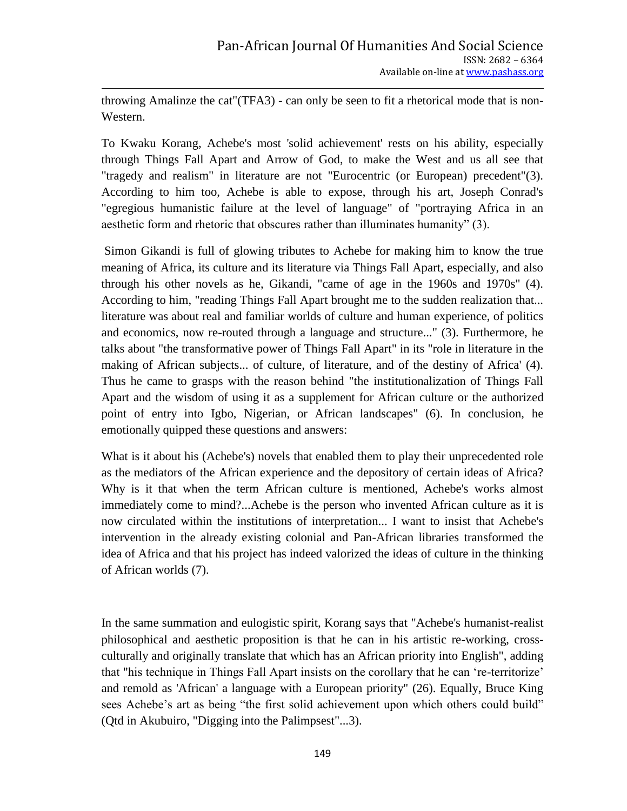throwing Amalinze the cat"(TFA3) - can only be seen to fit a rhetorical mode that is non-Western.

To Kwaku Korang, Achebe's most 'solid achievement' rests on his ability, especially through Things Fall Apart and Arrow of God, to make the West and us all see that "tragedy and realism" in literature are not "Eurocentric (or European) precedent"(3). According to him too, Achebe is able to expose, through his art, Joseph Conrad's "egregious humanistic failure at the level of language" of "portraying Africa in an aesthetic form and rhetoric that obscures rather than illuminates humanity" (3).

Simon Gikandi is full of glowing tributes to Achebe for making him to know the true meaning of Africa, its culture and its literature via Things Fall Apart, especially, and also through his other novels as he, Gikandi, "came of age in the 1960s and 1970s" (4). According to him, "reading Things Fall Apart brought me to the sudden realization that... literature was about real and familiar worlds of culture and human experience, of politics and economics, now re-routed through a language and structure..." (3). Furthermore, he talks about "the transformative power of Things Fall Apart" in its "role in literature in the making of African subjects... of culture, of literature, and of the destiny of Africa' (4). Thus he came to grasps with the reason behind "the institutionalization of Things Fall Apart and the wisdom of using it as a supplement for African culture or the authorized point of entry into Igbo, Nigerian, or African landscapes" (6). In conclusion, he emotionally quipped these questions and answers:

What is it about his (Achebe's) novels that enabled them to play their unprecedented role as the mediators of the African experience and the depository of certain ideas of Africa? Why is it that when the term African culture is mentioned, Achebe's works almost immediately come to mind?...Achebe is the person who invented African culture as it is now circulated within the institutions of interpretation... I want to insist that Achebe's intervention in the already existing colonial and Pan-African libraries transformed the idea of Africa and that his project has indeed valorized the ideas of culture in the thinking of African worlds (7).

In the same summation and eulogistic spirit, Korang says that "Achebe's humanist-realist philosophical and aesthetic proposition is that he can in his artistic re-working, crossculturally and originally translate that which has an African priority into English", adding that "his technique in Things Fall Apart insists on the corollary that he can "re-territorize" and remold as 'African' a language with a European priority" (26). Equally, Bruce King sees Achebe's art as being "the first solid achievement upon which others could build" (Qtd in Akubuiro, "Digging into the Palimpsest"...3).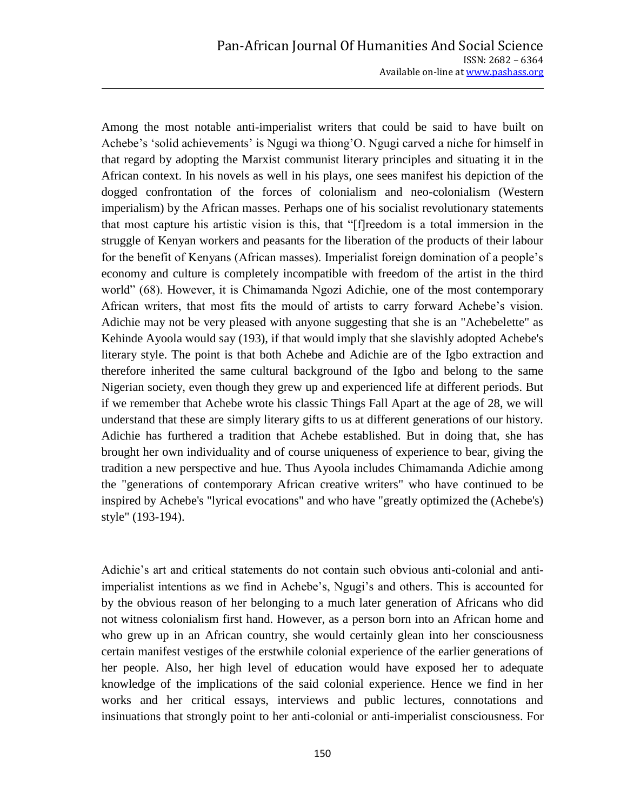Among the most notable anti-imperialist writers that could be said to have built on Achebe"s "solid achievements" is Ngugi wa thiong"O. Ngugi carved a niche for himself in that regard by adopting the Marxist communist literary principles and situating it in the African context. In his novels as well in his plays, one sees manifest his depiction of the dogged confrontation of the forces of colonialism and neo-colonialism (Western imperialism) by the African masses. Perhaps one of his socialist revolutionary statements that most capture his artistic vision is this, that "[f]reedom is a total immersion in the struggle of Kenyan workers and peasants for the liberation of the products of their labour for the benefit of Kenyans (African masses). Imperialist foreign domination of a people"s economy and culture is completely incompatible with freedom of the artist in the third world" (68). However, it is Chimamanda Ngozi Adichie, one of the most contemporary African writers, that most fits the mould of artists to carry forward Achebe's vision. Adichie may not be very pleased with anyone suggesting that she is an "Achebelette" as Kehinde Ayoola would say (193), if that would imply that she slavishly adopted Achebe's literary style. The point is that both Achebe and Adichie are of the Igbo extraction and therefore inherited the same cultural background of the Igbo and belong to the same Nigerian society, even though they grew up and experienced life at different periods. But if we remember that Achebe wrote his classic Things Fall Apart at the age of 28, we will understand that these are simply literary gifts to us at different generations of our history. Adichie has furthered a tradition that Achebe established. But in doing that, she has brought her own individuality and of course uniqueness of experience to bear, giving the tradition a new perspective and hue. Thus Ayoola includes Chimamanda Adichie among the "generations of contemporary African creative writers" who have continued to be inspired by Achebe's "lyrical evocations" and who have "greatly optimized the (Achebe's) style" (193-194).

Adichie"s art and critical statements do not contain such obvious anti-colonial and antiimperialist intentions as we find in Achebe"s, Ngugi"s and others. This is accounted for by the obvious reason of her belonging to a much later generation of Africans who did not witness colonialism first hand. However, as a person born into an African home and who grew up in an African country, she would certainly glean into her consciousness certain manifest vestiges of the erstwhile colonial experience of the earlier generations of her people. Also, her high level of education would have exposed her to adequate knowledge of the implications of the said colonial experience. Hence we find in her works and her critical essays, interviews and public lectures, connotations and insinuations that strongly point to her anti-colonial or anti-imperialist consciousness. For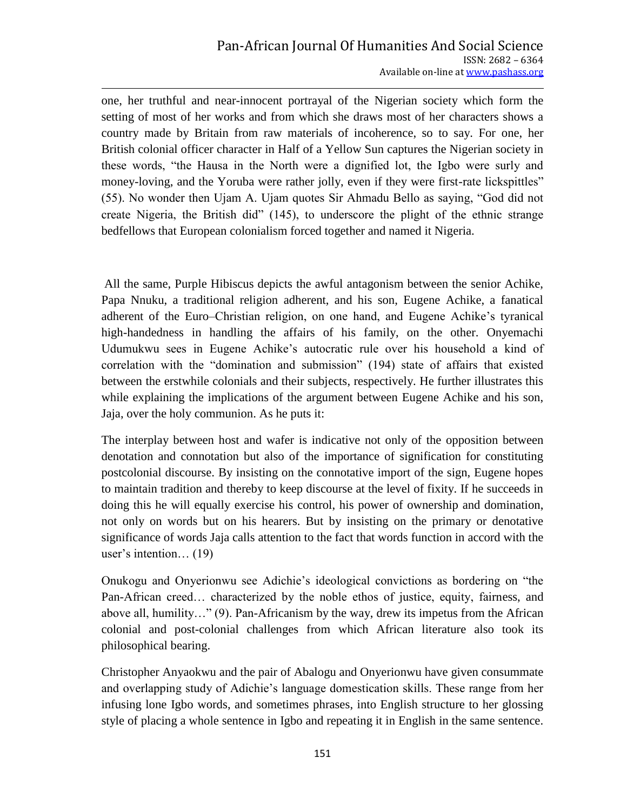one, her truthful and near-innocent portrayal of the Nigerian society which form the setting of most of her works and from which she draws most of her characters shows a country made by Britain from raw materials of incoherence, so to say. For one, her British colonial officer character in Half of a Yellow Sun captures the Nigerian society in these words, "the Hausa in the North were a dignified lot, the Igbo were surly and money-loving, and the Yoruba were rather jolly, even if they were first-rate lickspittles" (55). No wonder then Ujam A. Ujam quotes Sir Ahmadu Bello as saying, "God did not create Nigeria, the British did" (145), to underscore the plight of the ethnic strange bedfellows that European colonialism forced together and named it Nigeria.

All the same, Purple Hibiscus depicts the awful antagonism between the senior Achike, Papa Nnuku, a traditional religion adherent, and his son, Eugene Achike, a fanatical adherent of the Euro–Christian religion, on one hand, and Eugene Achike"s tyranical high-handedness in handling the affairs of his family, on the other. Onyemachi Udumukwu sees in Eugene Achike"s autocratic rule over his household a kind of correlation with the "domination and submission" (194) state of affairs that existed between the erstwhile colonials and their subjects, respectively. He further illustrates this while explaining the implications of the argument between Eugene Achike and his son, Jaja, over the holy communion. As he puts it:

The interplay between host and wafer is indicative not only of the opposition between denotation and connotation but also of the importance of signification for constituting postcolonial discourse. By insisting on the connotative import of the sign, Eugene hopes to maintain tradition and thereby to keep discourse at the level of fixity. If he succeeds in doing this he will equally exercise his control, his power of ownership and domination, not only on words but on his hearers. But by insisting on the primary or denotative significance of words Jaja calls attention to the fact that words function in accord with the user's intention... (19)

Onukogu and Onyerionwu see Adichie"s ideological convictions as bordering on "the Pan-African creed… characterized by the noble ethos of justice, equity, fairness, and above all, humility…" (9). Pan-Africanism by the way, drew its impetus from the African colonial and post-colonial challenges from which African literature also took its philosophical bearing.

Christopher Anyaokwu and the pair of Abalogu and Onyerionwu have given consummate and overlapping study of Adichie"s language domestication skills. These range from her infusing lone Igbo words, and sometimes phrases, into English structure to her glossing style of placing a whole sentence in Igbo and repeating it in English in the same sentence.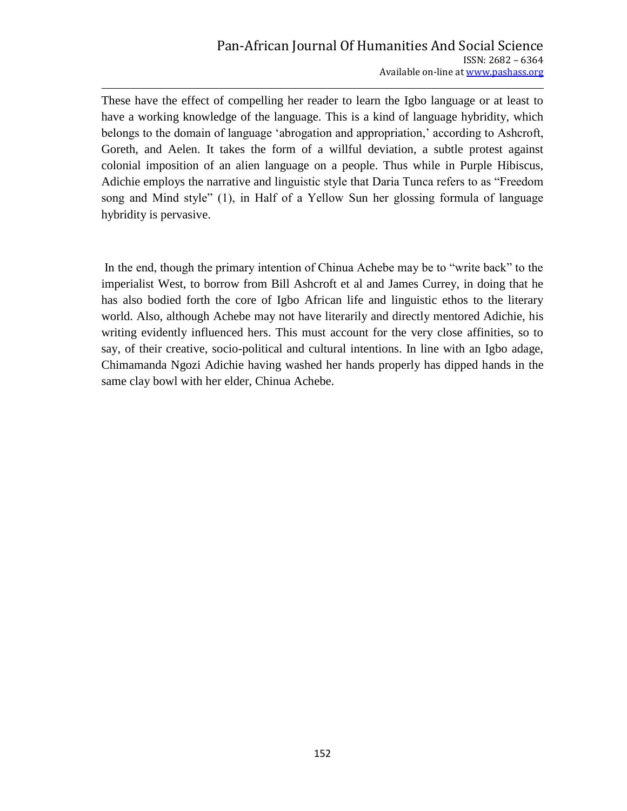These have the effect of compelling her reader to learn the Igbo language or at least to have a working knowledge of the language. This is a kind of language hybridity, which belongs to the domain of language "abrogation and appropriation," according to Ashcroft, Goreth, and Aelen. It takes the form of a willful deviation, a subtle protest against colonial imposition of an alien language on a people. Thus while in Purple Hibiscus, Adichie employs the narrative and linguistic style that Daria Tunca refers to as "Freedom song and Mind style" (1), in Half of a Yellow Sun her glossing formula of language hybridity is pervasive.

In the end, though the primary intention of Chinua Achebe may be to "write back" to the imperialist West, to borrow from Bill Ashcroft et al and James Currey, in doing that he has also bodied forth the core of Igbo African life and linguistic ethos to the literary world. Also, although Achebe may not have literarily and directly mentored Adichie, his writing evidently influenced hers. This must account for the very close affinities, so to say, of their creative, socio-political and cultural intentions. In line with an Igbo adage, Chimamanda Ngozi Adichie having washed her hands properly has dipped hands in the same clay bowl with her elder, Chinua Achebe.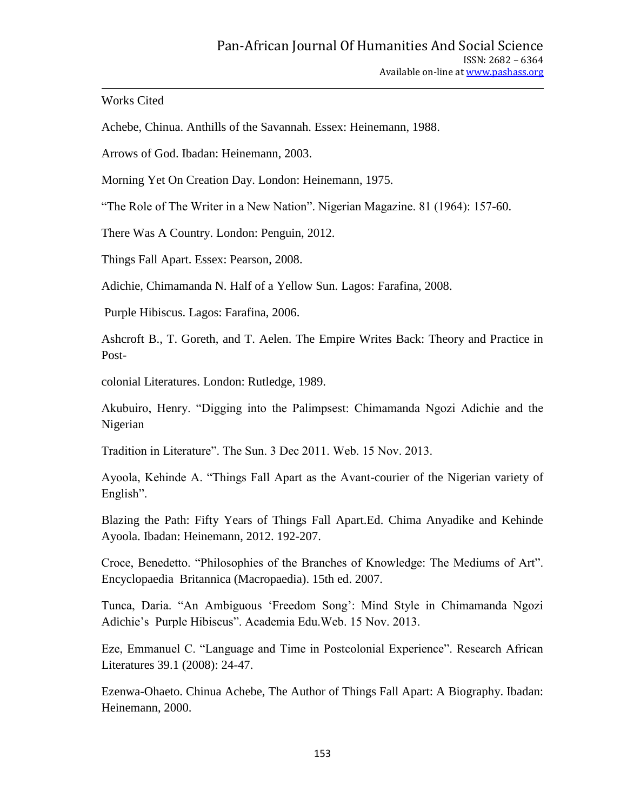## Works Cited

Achebe, Chinua. Anthills of the Savannah. Essex: Heinemann, 1988.

Arrows of God. Ibadan: Heinemann, 2003.

Morning Yet On Creation Day. London: Heinemann, 1975.

"The Role of The Writer in a New Nation". Nigerian Magazine. 81 (1964): 157-60.

There Was A Country. London: Penguin, 2012.

Things Fall Apart. Essex: Pearson, 2008.

Adichie, Chimamanda N. Half of a Yellow Sun. Lagos: Farafina, 2008.

Purple Hibiscus. Lagos: Farafina, 2006.

Ashcroft B., T. Goreth, and T. Aelen. The Empire Writes Back: Theory and Practice in Post-

colonial Literatures. London: Rutledge, 1989.

Akubuiro, Henry. "Digging into the Palimpsest: Chimamanda Ngozi Adichie and the Nigerian

Tradition in Literature". The Sun. 3 Dec 2011. Web. 15 Nov. 2013.

Ayoola, Kehinde A. "Things Fall Apart as the Avant-courier of the Nigerian variety of English".

Blazing the Path: Fifty Years of Things Fall Apart.Ed. Chima Anyadike and Kehinde Ayoola. Ibadan: Heinemann, 2012. 192-207.

Croce, Benedetto. "Philosophies of the Branches of Knowledge: The Mediums of Art". Encyclopaedia Britannica (Macropaedia). 15th ed. 2007.

Tunca, Daria. "An Ambiguous "Freedom Song": Mind Style in Chimamanda Ngozi Adichie"s Purple Hibiscus". Academia Edu.Web. 15 Nov. 2013.

Eze, Emmanuel C. "Language and Time in Postcolonial Experience". Research African Literatures 39.1 (2008): 24-47.

Ezenwa-Ohaeto. Chinua Achebe, The Author of Things Fall Apart: A Biography. Ibadan: Heinemann, 2000.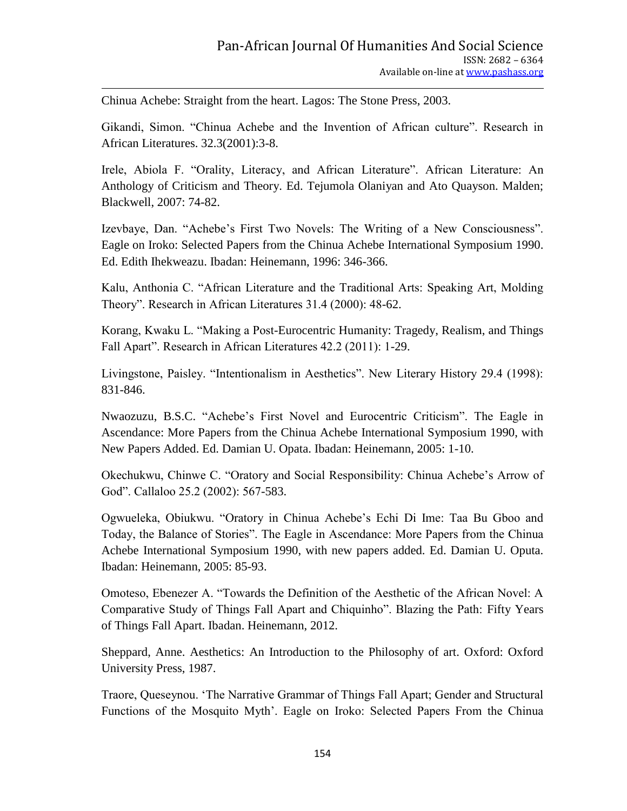Chinua Achebe: Straight from the heart. Lagos: The Stone Press, 2003.

Gikandi, Simon. "Chinua Achebe and the Invention of African culture". Research in African Literatures. 32.3(2001):3-8.

Irele, Abiola F. "Orality, Literacy, and African Literature". African Literature: An Anthology of Criticism and Theory. Ed. Tejumola Olaniyan and Ato Quayson. Malden; Blackwell, 2007: 74-82.

Izevbaye, Dan. "Achebe"s First Two Novels: The Writing of a New Consciousness". Eagle on Iroko: Selected Papers from the Chinua Achebe International Symposium 1990. Ed. Edith Ihekweazu. Ibadan: Heinemann, 1996: 346-366.

Kalu, Anthonia C. "African Literature and the Traditional Arts: Speaking Art, Molding Theory". Research in African Literatures 31.4 (2000): 48-62.

Korang, Kwaku L. "Making a Post-Eurocentric Humanity: Tragedy, Realism, and Things Fall Apart". Research in African Literatures 42.2 (2011): 1-29.

Livingstone, Paisley. "Intentionalism in Aesthetics". New Literary History 29.4 (1998): 831-846.

Nwaozuzu, B.S.C. "Achebe"s First Novel and Eurocentric Criticism". The Eagle in Ascendance: More Papers from the Chinua Achebe International Symposium 1990, with New Papers Added. Ed. Damian U. Opata. Ibadan: Heinemann, 2005: 1-10.

Okechukwu, Chinwe C. "Oratory and Social Responsibility: Chinua Achebe"s Arrow of God". Callaloo 25.2 (2002): 567-583.

Ogwueleka, Obiukwu. "Oratory in Chinua Achebe"s Echi Di Ime: Taa Bu Gboo and Today, the Balance of Stories". The Eagle in Ascendance: More Papers from the Chinua Achebe International Symposium 1990, with new papers added. Ed. Damian U. Oputa. Ibadan: Heinemann, 2005: 85-93.

Omoteso, Ebenezer A. "Towards the Definition of the Aesthetic of the African Novel: A Comparative Study of Things Fall Apart and Chiquinho". Blazing the Path: Fifty Years of Things Fall Apart. Ibadan. Heinemann, 2012.

Sheppard, Anne. Aesthetics: An Introduction to the Philosophy of art. Oxford: Oxford University Press, 1987.

Traore, Queseynou. "The Narrative Grammar of Things Fall Apart; Gender and Structural Functions of the Mosquito Myth'. Eagle on Iroko: Selected Papers From the Chinua